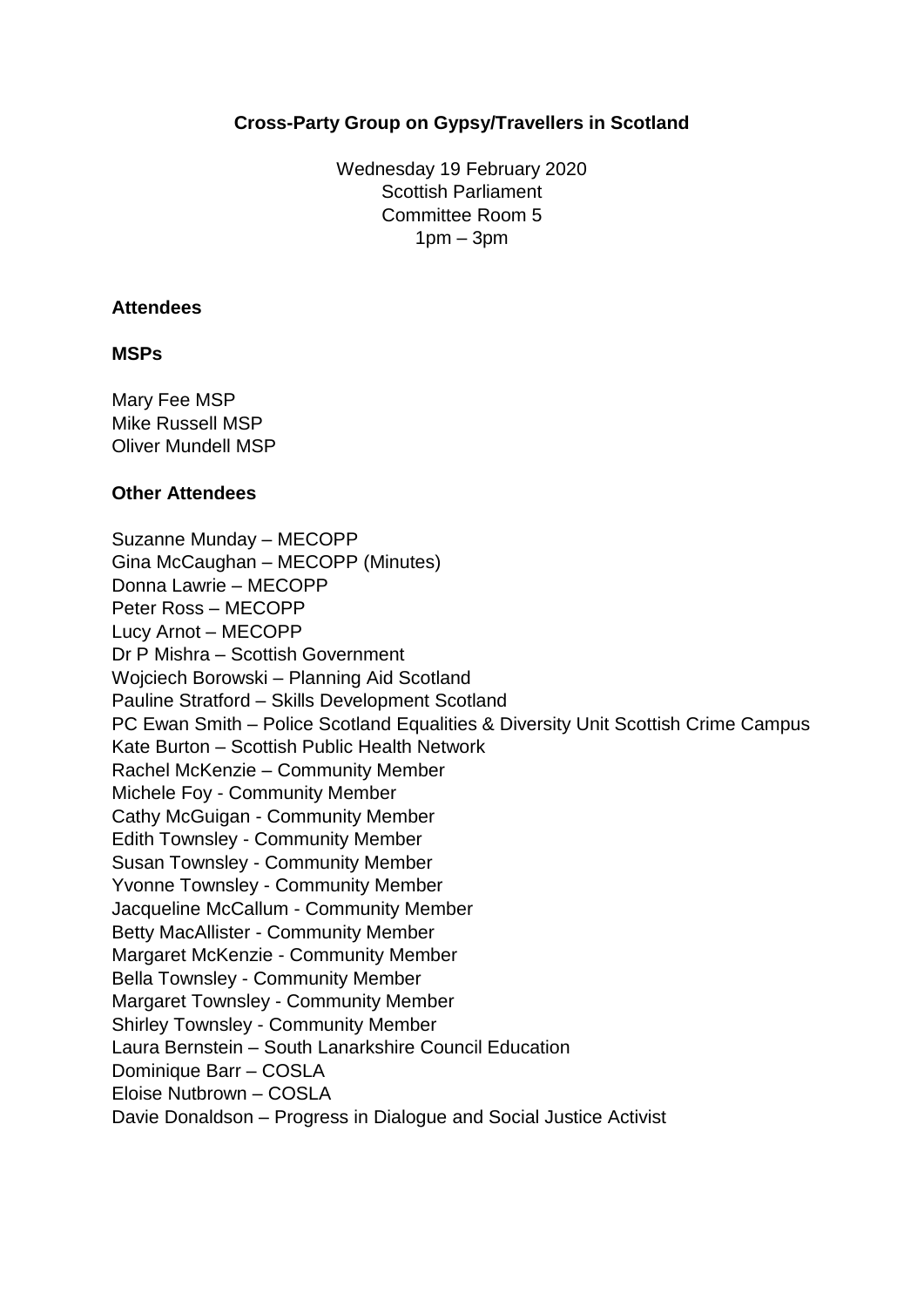# **Cross-Party Group on Gypsy/Travellers in Scotland**

Wednesday 19 February 2020 Scottish Parliament Committee Room 5  $1$ pm –  $3$ pm

#### **Attendees**

#### **MSPs**

Mary Fee MSP Mike Russell MSP Oliver Mundell MSP

#### **Other Attendees**

Suzanne Munday – MECOPP Gina McCaughan – MECOPP (Minutes) Donna Lawrie – MECOPP Peter Ross – MECOPP Lucy Arnot – MECOPP Dr P Mishra – Scottish Government Wojciech Borowski – Planning Aid Scotland Pauline Stratford – Skills Development Scotland PC Ewan Smith – Police Scotland Equalities & Diversity Unit Scottish Crime Campus Kate Burton – Scottish Public Health Network Rachel McKenzie – Community Member Michele Foy - Community Member Cathy McGuigan - Community Member Edith Townsley - Community Member Susan Townsley - Community Member Yvonne Townsley - Community Member Jacqueline McCallum - Community Member Betty MacAllister - Community Member Margaret McKenzie - Community Member Bella Townsley - Community Member Margaret Townsley - Community Member Shirley Townsley - Community Member Laura Bernstein – South Lanarkshire Council Education Dominique Barr – COSLA Eloise Nutbrown – COSLA Davie Donaldson – Progress in Dialogue and Social Justice Activist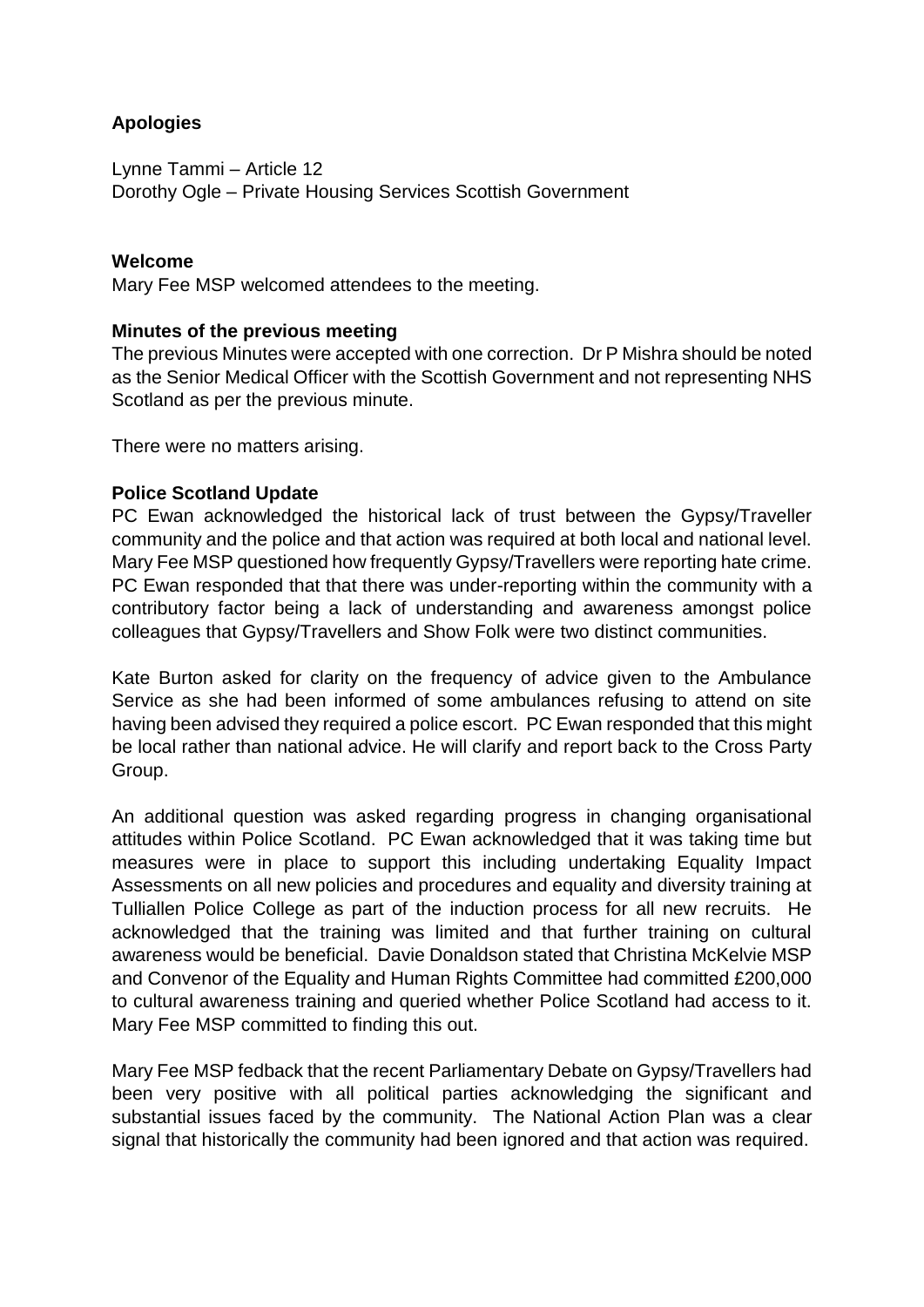# **Apologies**

Lynne Tammi – Article 12 Dorothy Ogle – Private Housing Services Scottish Government

# **Welcome**

Mary Fee MSP welcomed attendees to the meeting.

# **Minutes of the previous meeting**

The previous Minutes were accepted with one correction. Dr P Mishra should be noted as the Senior Medical Officer with the Scottish Government and not representing NHS Scotland as per the previous minute.

There were no matters arising.

#### **Police Scotland Update**

PC Ewan acknowledged the historical lack of trust between the Gypsy/Traveller community and the police and that action was required at both local and national level. Mary Fee MSP questioned how frequently Gypsy/Travellers were reporting hate crime. PC Ewan responded that that there was under-reporting within the community with a contributory factor being a lack of understanding and awareness amongst police colleagues that Gypsy/Travellers and Show Folk were two distinct communities.

Kate Burton asked for clarity on the frequency of advice given to the Ambulance Service as she had been informed of some ambulances refusing to attend on site having been advised they required a police escort. PC Ewan responded that this might be local rather than national advice. He will clarify and report back to the Cross Party Group.

An additional question was asked regarding progress in changing organisational attitudes within Police Scotland. PC Ewan acknowledged that it was taking time but measures were in place to support this including undertaking Equality Impact Assessments on all new policies and procedures and equality and diversity training at Tulliallen Police College as part of the induction process for all new recruits. He acknowledged that the training was limited and that further training on cultural awareness would be beneficial. Davie Donaldson stated that Christina McKelvie MSP and Convenor of the Equality and Human Rights Committee had committed £200,000 to cultural awareness training and queried whether Police Scotland had access to it. Mary Fee MSP committed to finding this out.

Mary Fee MSP fedback that the recent Parliamentary Debate on Gypsy/Travellers had been very positive with all political parties acknowledging the significant and substantial issues faced by the community. The National Action Plan was a clear signal that historically the community had been ignored and that action was required.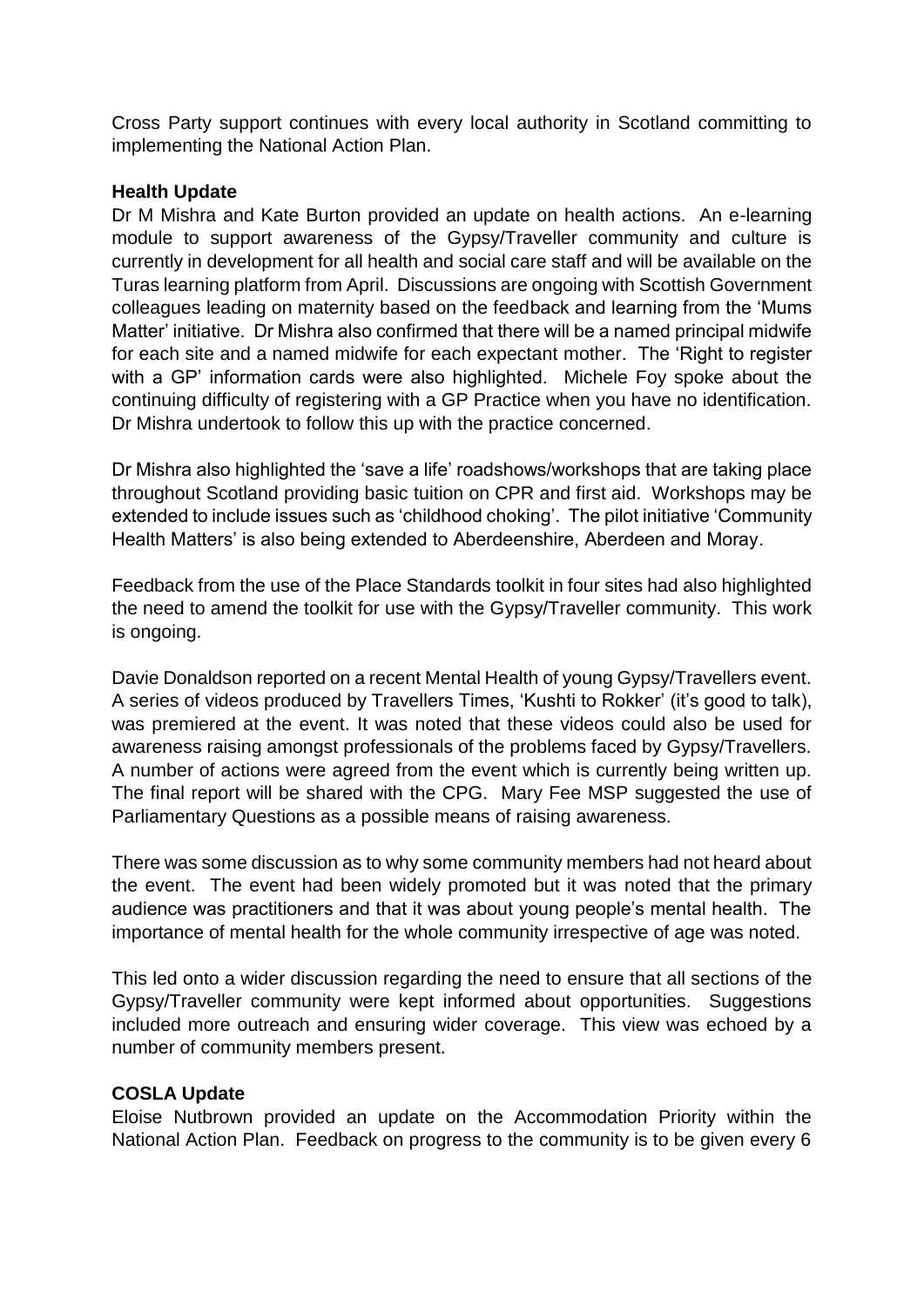Cross Party support continues with every local authority in Scotland committing to implementing the National Action Plan.

# **Health Update**

Dr M Mishra and Kate Burton provided an update on health actions. An e-learning module to support awareness of the Gypsy/Traveller community and culture is currently in development for all health and social care staff and will be available on the Turas learning platform from April. Discussions are ongoing with Scottish Government colleagues leading on maternity based on the feedback and learning from the 'Mums Matter' initiative. Dr Mishra also confirmed that there will be a named principal midwife for each site and a named midwife for each expectant mother. The 'Right to register with a GP' information cards were also highlighted. Michele Foy spoke about the continuing difficulty of registering with a GP Practice when you have no identification. Dr Mishra undertook to follow this up with the practice concerned.

Dr Mishra also highlighted the 'save a life' roadshows/workshops that are taking place throughout Scotland providing basic tuition on CPR and first aid. Workshops may be extended to include issues such as 'childhood choking'. The pilot initiative 'Community Health Matters' is also being extended to Aberdeenshire, Aberdeen and Moray.

Feedback from the use of the Place Standards toolkit in four sites had also highlighted the need to amend the toolkit for use with the Gypsy/Traveller community. This work is ongoing.

Davie Donaldson reported on a recent Mental Health of young Gypsy/Travellers event. A series of videos produced by Travellers Times, 'Kushti to Rokker' (it's good to talk), was premiered at the event. It was noted that these videos could also be used for awareness raising amongst professionals of the problems faced by Gypsy/Travellers. A number of actions were agreed from the event which is currently being written up. The final report will be shared with the CPG. Mary Fee MSP suggested the use of Parliamentary Questions as a possible means of raising awareness.

There was some discussion as to why some community members had not heard about the event. The event had been widely promoted but it was noted that the primary audience was practitioners and that it was about young people's mental health. The importance of mental health for the whole community irrespective of age was noted.

This led onto a wider discussion regarding the need to ensure that all sections of the Gypsy/Traveller community were kept informed about opportunities. Suggestions included more outreach and ensuring wider coverage. This view was echoed by a number of community members present.

# **COSLA Update**

Eloise Nutbrown provided an update on the Accommodation Priority within the National Action Plan. Feedback on progress to the community is to be given every 6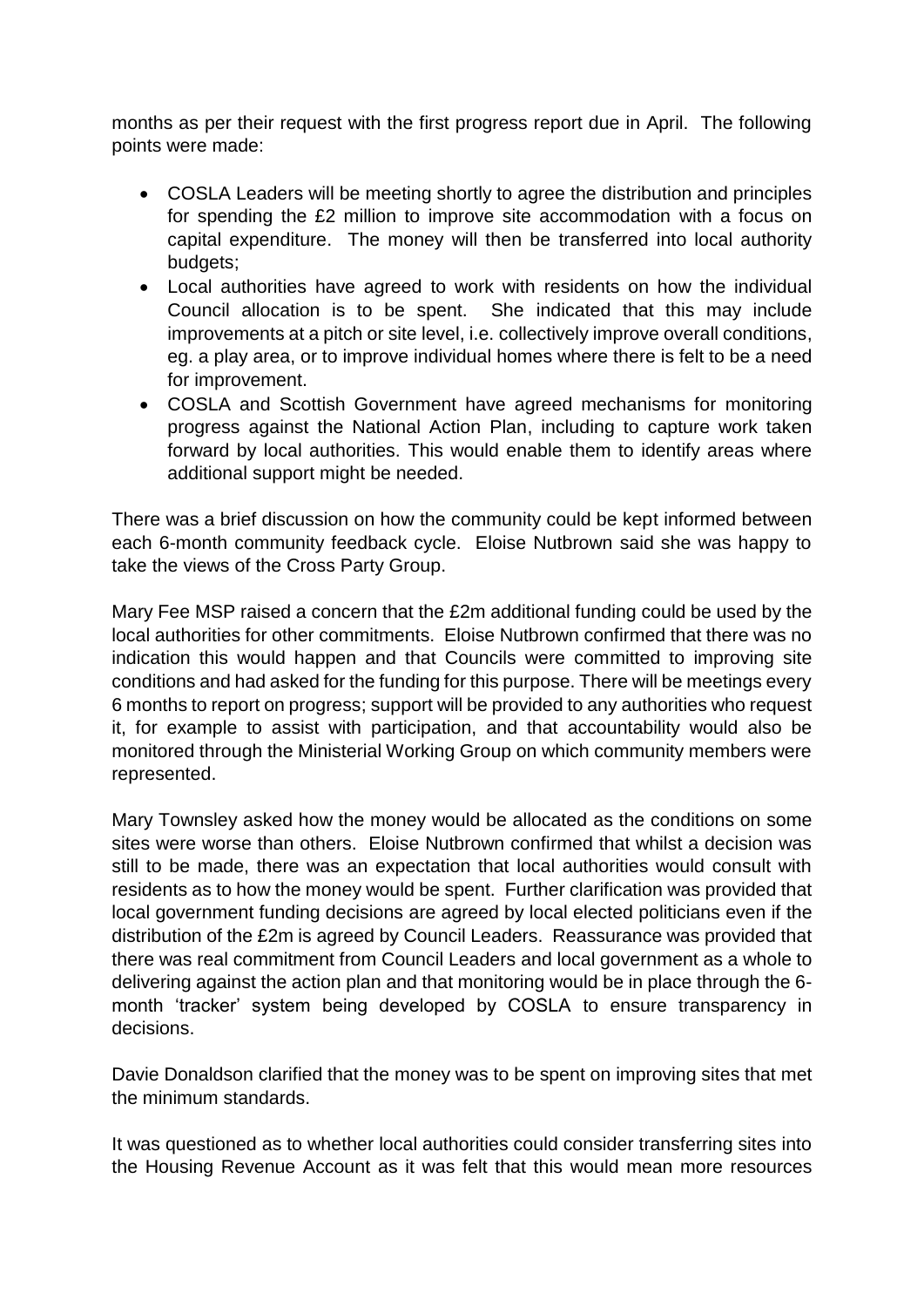months as per their request with the first progress report due in April. The following points were made:

- COSLA Leaders will be meeting shortly to agree the distribution and principles for spending the £2 million to improve site accommodation with a focus on capital expenditure. The money will then be transferred into local authority budgets;
- Local authorities have agreed to work with residents on how the individual Council allocation is to be spent. She indicated that this may include improvements at a pitch or site level, i.e. collectively improve overall conditions, eg. a play area, or to improve individual homes where there is felt to be a need for improvement.
- COSLA and Scottish Government have agreed mechanisms for monitoring progress against the National Action Plan, including to capture work taken forward by local authorities. This would enable them to identify areas where additional support might be needed.

There was a brief discussion on how the community could be kept informed between each 6-month community feedback cycle. Eloise Nutbrown said she was happy to take the views of the Cross Party Group.

Mary Fee MSP raised a concern that the £2m additional funding could be used by the local authorities for other commitments. Eloise Nutbrown confirmed that there was no indication this would happen and that Councils were committed to improving site conditions and had asked for the funding for this purpose. There will be meetings every 6 months to report on progress; support will be provided to any authorities who request it, for example to assist with participation, and that accountability would also be monitored through the Ministerial Working Group on which community members were represented.

Mary Townsley asked how the money would be allocated as the conditions on some sites were worse than others. Eloise Nutbrown confirmed that whilst a decision was still to be made, there was an expectation that local authorities would consult with residents as to how the money would be spent. Further clarification was provided that local government funding decisions are agreed by local elected politicians even if the distribution of the £2m is agreed by Council Leaders. Reassurance was provided that there was real commitment from Council Leaders and local government as a whole to delivering against the action plan and that monitoring would be in place through the 6 month 'tracker' system being developed by COSLA to ensure transparency in decisions.

Davie Donaldson clarified that the money was to be spent on improving sites that met the minimum standards.

It was questioned as to whether local authorities could consider transferring sites into the Housing Revenue Account as it was felt that this would mean more resources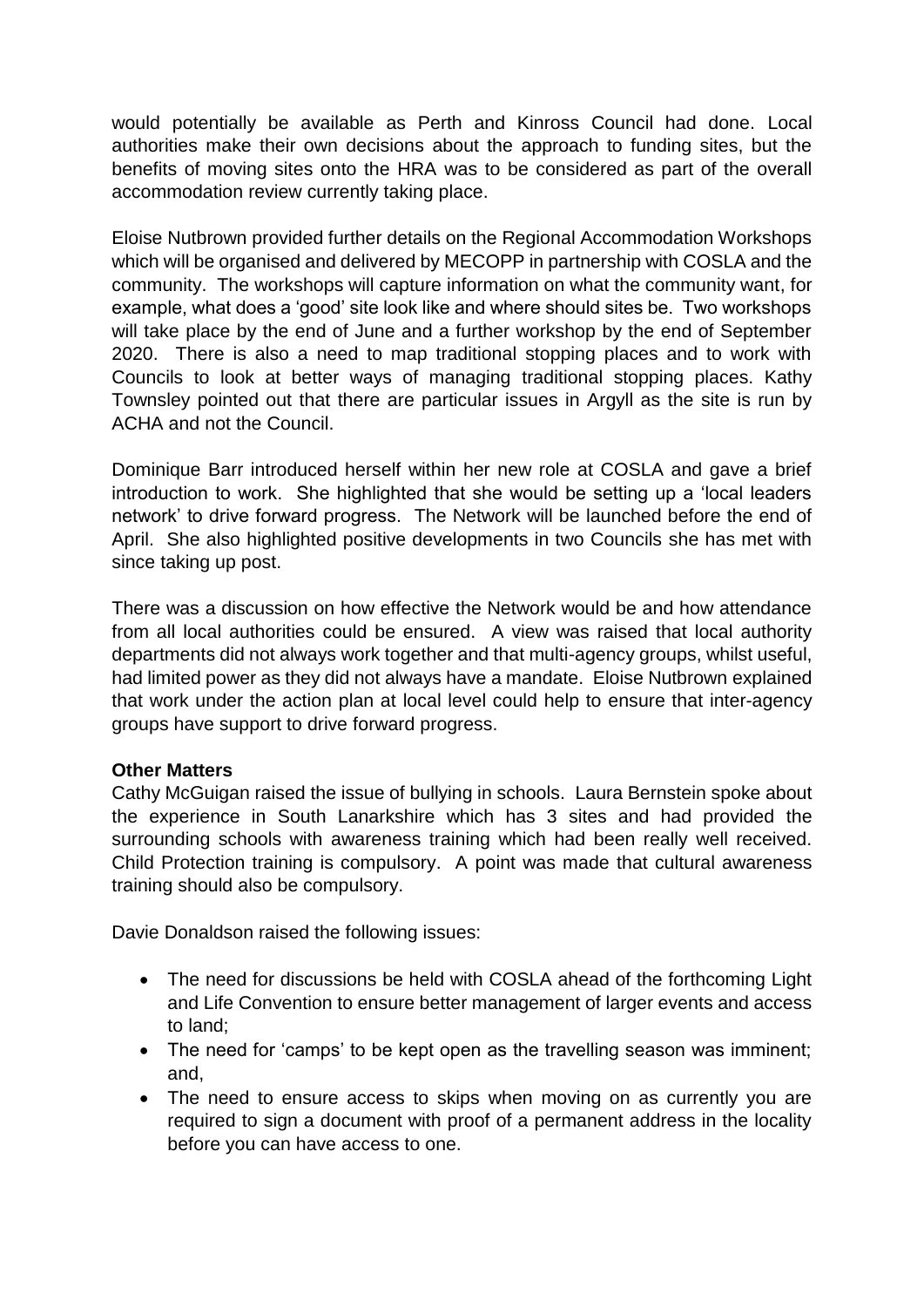would potentially be available as Perth and Kinross Council had done. Local authorities make their own decisions about the approach to funding sites, but the benefits of moving sites onto the HRA was to be considered as part of the overall accommodation review currently taking place.

Eloise Nutbrown provided further details on the Regional Accommodation Workshops which will be organised and delivered by MECOPP in partnership with COSLA and the community. The workshops will capture information on what the community want, for example, what does a 'good' site look like and where should sites be. Two workshops will take place by the end of June and a further workshop by the end of September 2020. There is also a need to map traditional stopping places and to work with Councils to look at better ways of managing traditional stopping places. Kathy Townsley pointed out that there are particular issues in Argyll as the site is run by ACHA and not the Council.

Dominique Barr introduced herself within her new role at COSLA and gave a brief introduction to work. She highlighted that she would be setting up a 'local leaders network' to drive forward progress. The Network will be launched before the end of April. She also highlighted positive developments in two Councils she has met with since taking up post.

There was a discussion on how effective the Network would be and how attendance from all local authorities could be ensured. A view was raised that local authority departments did not always work together and that multi-agency groups, whilst useful, had limited power as they did not always have a mandate. Eloise Nutbrown explained that work under the action plan at local level could help to ensure that inter-agency groups have support to drive forward progress.

# **Other Matters**

Cathy McGuigan raised the issue of bullying in schools. Laura Bernstein spoke about the experience in South Lanarkshire which has 3 sites and had provided the surrounding schools with awareness training which had been really well received. Child Protection training is compulsory. A point was made that cultural awareness training should also be compulsory.

Davie Donaldson raised the following issues:

- The need for discussions be held with COSLA ahead of the forthcoming Light and Life Convention to ensure better management of larger events and access to land;
- The need for 'camps' to be kept open as the travelling season was imminent; and,
- The need to ensure access to skips when moving on as currently you are required to sign a document with proof of a permanent address in the locality before you can have access to one.